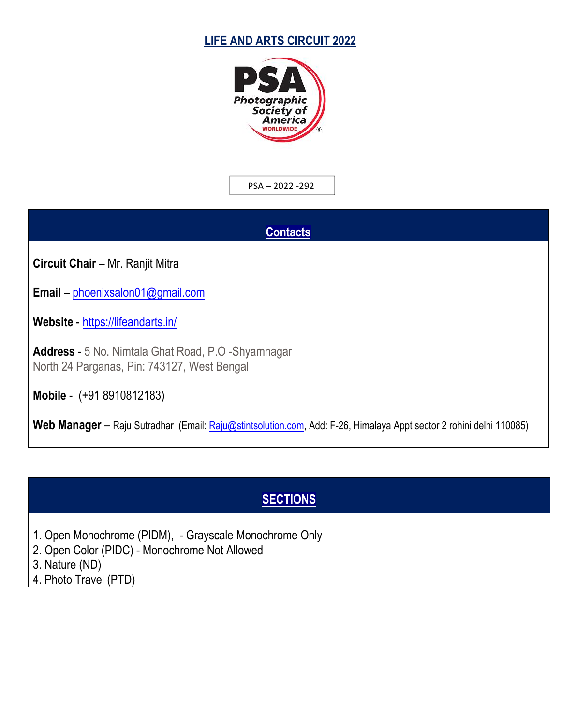### **LIFE AND ARTS CIRCUIT 2022**



PSA – 2022 -292

#### **Contacts**

**Circuit Chair** – Mr. Ranjit Mitra

**Email** – [phoenixsalon01@gmail.com](mailto:phoenixsalon01@gmail.com)

**Website** - <https://lifeandarts.in/>

**Address** - 5 No. Nimtala Ghat Road, P.O -Shyamnagar North 24 Parganas, Pin: 743127, West Bengal

**Mobile** - (+91 8910812183)

Web Manager – Raju Sutradhar (Email: [Raju@stintsolution.com,](mailto:Raju@stintsolution.com) Add: F-26, Himalaya Appt sector 2 rohini delhi 110085)

# **SECTIONS**

- 1. Open Monochrome (PIDM), Grayscale Monochrome Only
- 2. Open Color (PIDC) Monochrome Not Allowed
- 3. Nature (ND)
- 4. Photo Travel (PTD)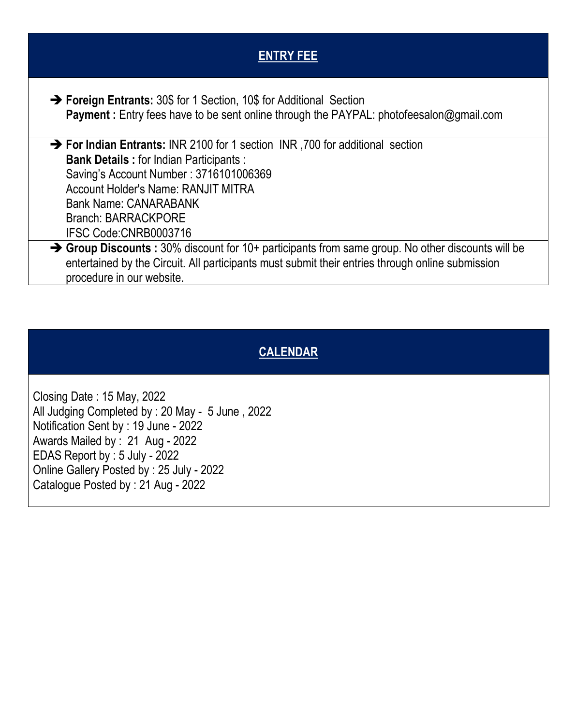| <b>ENTRY FEE</b>                                                                                                                                                                                                                                                                                                          |
|---------------------------------------------------------------------------------------------------------------------------------------------------------------------------------------------------------------------------------------------------------------------------------------------------------------------------|
| → Foreign Entrants: 30\$ for 1 Section, 10\$ for Additional Section<br><b>Payment:</b> Entry fees have to be sent online through the PAYPAL: photofeesalon@gmail.com                                                                                                                                                      |
| $\rightarrow$ For Indian Entrants: INR 2100 for 1 section INR, 700 for additional section<br><b>Bank Details: for Indian Participants:</b><br>Saving's Account Number: 3716101006369<br><b>Account Holder's Name: RANJIT MITRA</b><br><b>Bank Name: CANARABANK</b><br><b>Branch: BARRACKPORE</b><br>IFSC Code:CNRB0003716 |
| $\rightarrow$ Group Discounts: 30% discount for 10+ participants from same group. No other discounts will be<br>entertained by the Circuit. All participants must submit their entries through online submission<br>procedure in our website.                                                                             |

# **CALENDAR**

Closing Date : 15 May, 2022 All Judging Completed by : 20 May - 5 June , 2022 Notification Sent by : 19 June - 2022 Awards Mailed by : 21 Aug - 2022 EDAS Report by : 5 July - 2022 Online Gallery Posted by : 25 July - 2022 Catalogue Posted by : 21 Aug - 2022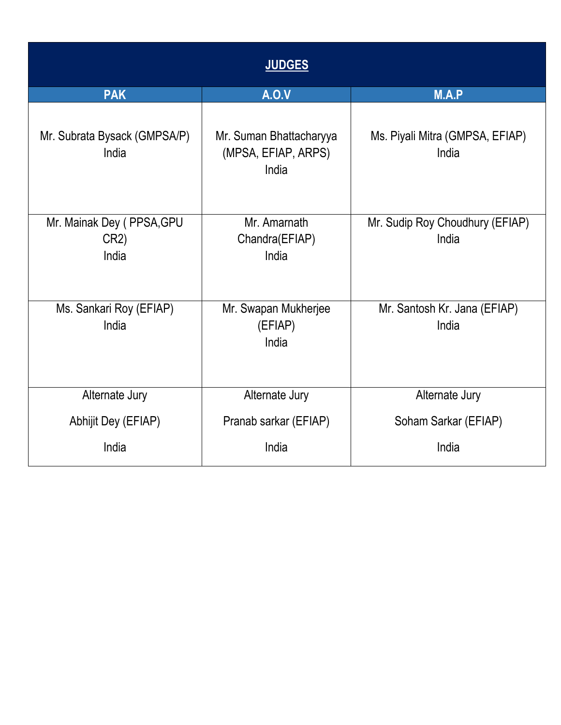| <b>JUDGES</b>                              |                                                         |                                          |  |
|--------------------------------------------|---------------------------------------------------------|------------------------------------------|--|
| <b>PAK</b>                                 | <b>A.O.V</b>                                            | M.A.P                                    |  |
| Mr. Subrata Bysack (GMPSA/P)<br>India      | Mr. Suman Bhattacharyya<br>(MPSA, EFIAP, ARPS)<br>India | Ms. Piyali Mitra (GMPSA, EFIAP)<br>India |  |
| Mr. Mainak Dey (PPSA, GPU<br>CR2)<br>India | Mr. Amarnath<br>Chandra(EFIAP)<br>India                 | Mr. Sudip Roy Choudhury (EFIAP)<br>India |  |
| Ms. Sankari Roy (EFIAP)<br>India           | Mr. Swapan Mukherjee<br>(EFIAP)<br>India                | Mr. Santosh Kr. Jana (EFIAP)<br>India    |  |
| Alternate Jury                             | Alternate Jury                                          | Alternate Jury                           |  |
| Abhijit Dey (EFIAP)                        | Pranab sarkar (EFIAP)                                   | Soham Sarkar (EFIAP)                     |  |
| India                                      | India                                                   | India                                    |  |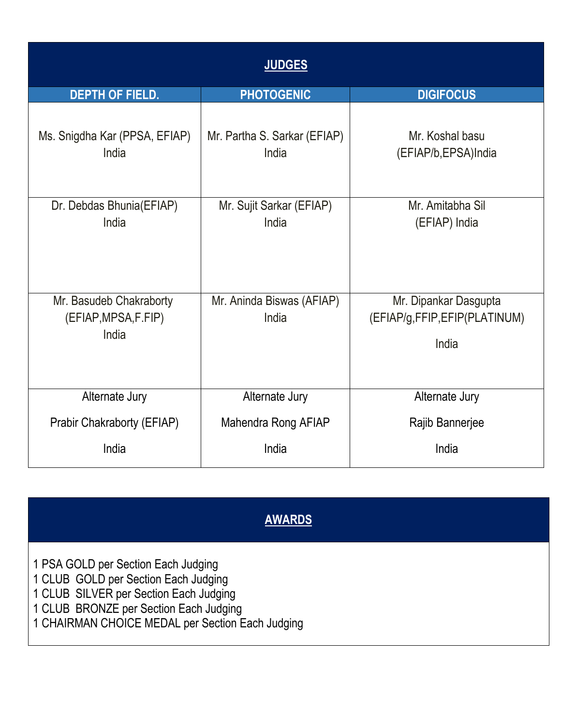| <b>JUDGES</b>                                             |                                       |                                                                |  |  |
|-----------------------------------------------------------|---------------------------------------|----------------------------------------------------------------|--|--|
| <b>DEPTH OF FIELD.</b>                                    | <b>PHOTOGENIC</b>                     | <b>DIGIFOCUS</b>                                               |  |  |
| Ms. Snigdha Kar (PPSA, EFIAP)<br>India                    | Mr. Partha S. Sarkar (EFIAP)<br>India | Mr. Koshal basu<br>(EFIAP/b, EPSA)India                        |  |  |
| Dr. Debdas Bhunia(EFIAP)<br>India                         | Mr. Sujit Sarkar (EFIAP)<br>India     | Mr. Amitabha Sil<br>(EFIAP) India                              |  |  |
| Mr. Basudeb Chakraborty<br>(EFIAP, MPSA, F. FIP)<br>India | Mr. Aninda Biswas (AFIAP)<br>India    | Mr. Dipankar Dasgupta<br>(EFIAP/g,FFIP,EFIP(PLATINUM)<br>India |  |  |
| Alternate Jury                                            | Alternate Jury                        | Alternate Jury                                                 |  |  |
| Prabir Chakraborty (EFIAP)                                | Mahendra Rong AFIAP                   | Rajib Bannerjee                                                |  |  |
| India                                                     | India                                 | India                                                          |  |  |

# **AWARDS**

1 PSA GOLD per Section Each Judging

- 1 CLUB GOLD per Section Each Judging
- 1 CLUB SILVER per Section Each Judging

1 CLUB BRONZE per Section Each Judging

1 CHAIRMAN CHOICE MEDAL per Section Each Judging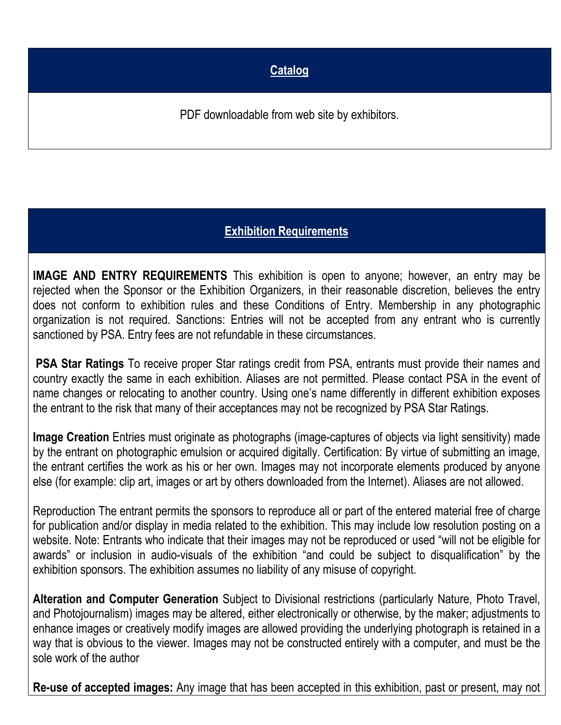### **Catalog**

PDF downloadable from web site by exhibitors.

# **Exhibition Requirements**

**IMAGE AND ENTRY REQUIREMENTS** This exhibition is open to anyone; however, an entry may be rejected when the Sponsor or the Exhibition Organizers, in their reasonable discretion, believes the entry does not conform to exhibition rules and these Conditions of Entry. Membership in any photographic organization is not required. Sanctions: Entries will not be accepted from any entrant who is currently sanctioned by PSA. Entry fees are not refundable in these circumstances.

**PSA Star Ratings** To receive proper Star ratings credit from PSA, entrants must provide their names and country exactly the same in each exhibition. Aliases are not permitted. Please contact PSA in the event of name changes or relocating to another country. Using one's name differently in different exhibition exposes the entrant to the risk that many of their acceptances may not be recognized by PSA Star Ratings.

**Image Creation** Entries must originate as photographs (image-captures of objects via light sensitivity) made by the entrant on photographic emulsion or acquired digitally. Certification: By virtue of submitting an image, the entrant certifies the work as his or her own. Images may not incorporate elements produced by anyone else (for example: clip art, images or art by others downloaded from the Internet). Aliases are not allowed.

Reproduction The entrant permits the sponsors to reproduce all or part of the entered material free of charge for publication and/or display in media related to the exhibition. This may include low resolution posting on a website. Note: Entrants who indicate that their images may not be reproduced or used "will not be eligible for awards" or inclusion in audio-visuals of the exhibition "and could be subject to disqualification" by the exhibition sponsors. The exhibition assumes no liability of any misuse of copyright.

**Alteration and Computer Generation** Subject to Divisional restrictions (particularly Nature, Photo Travel, and Photojournalism) images may be altered, either electronically or otherwise, by the maker; adjustments to enhance images or creatively modify images are allowed providing the underlying photograph is retained in a way that is obvious to the viewer. Images may not be constructed entirely with a computer, and must be the sole work of the author

**Re-use of accepted images:** Any image that has been accepted in this exhibition, past or present, may not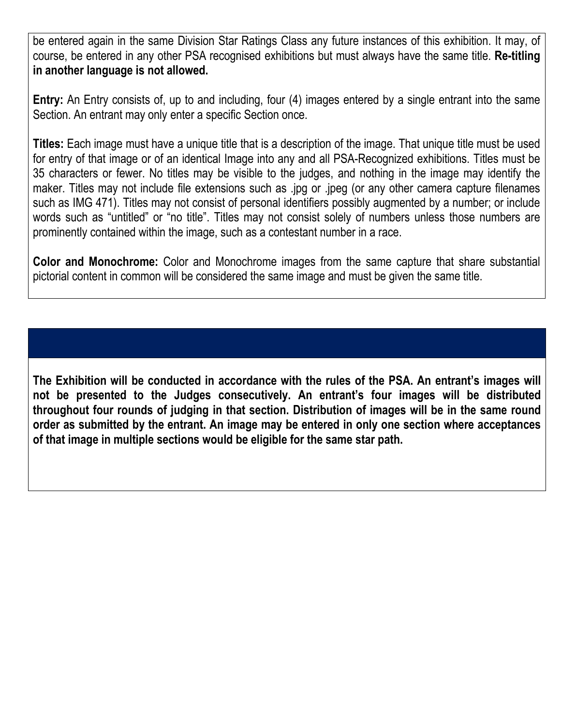be entered again in the same Division Star Ratings Class any future instances of this exhibition. It may, of course, be entered in any other PSA recognised exhibitions but mustalways have the same title. **Re-titling in another language is not allowed.**

**Entry:** An Entry consists of, up to and including, four (4) images entered by a single entrant into the same Section. An entrant may only enter a specific Section once.

**Titles:** Each image must have a unique title that is a description of the image. That unique title must be used for entry of that image or of an identical Image into any and all PSA-Recognized exhibitions. Titles must be 35 characters or fewer. No titles may be visible to the judges, and nothing in the image may identify the maker. Titles may not include file extensions such as .jpg or .jpeg (or any other camera capture filenames such as IMG 471). Titles may not consist of personal identifiers possibly augmented by a number; or include words such as "untitled" or "no title". Titles may not consist solely of numbers unless those numbers are prominently contained within the image, such as a contestant number in a race.

**Color and Monochrome:** Color and Monochrome images from the same capture that share substantial pictorial content in common will be considered the same image and must be given the same title.

**The Exhibition will be conducted in accordance with the rules of the PSA. An entrant's images will not be presented to the Judges consecutively. An entrant's four images will be distributed throughout four rounds of judging in that section.Distribution of images will be in the same round order as submitted by the entrant. An image may be entered in only one section where acceptances of that image in multiple sections would be eligible for the same star path.**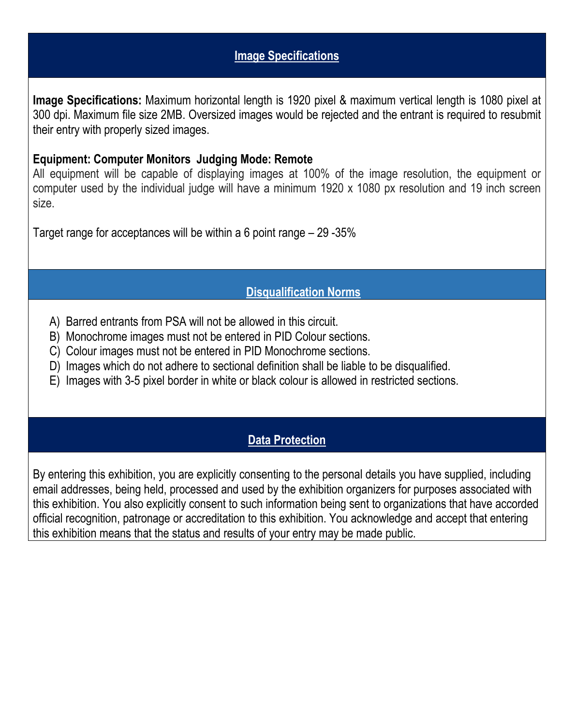#### **Image Specifications**

**Image Specifications:** Maximum horizontal length is 1920 pixel & maximum vertical length is 1080 pixel at 300 dpi. Maximum file size 2MB. Oversized images would be rejected and the entrant is required to resubmit their entry with properly sized images.

#### **Equipment: Computer Monitors Judging Mode: Remote**

All equipment will be capable of displaying images at 100% of the image resolution, the equipment or computer used by the individual judge will have a minimum 1920 x 1080 px resolution and 19 inch screen size.

Target range for acceptances will be within a 6 point range – 29 -35%

#### **Disqualification Norms**

- A) Barred entrants from PSA will not be allowed in this circuit.
- B) Monochrome images must not be entered in PID Colour sections.
- C) Colour images must not be entered in PID Monochrome sections.
- D) Images which do not adhere to sectional definition shall be liable to be disqualified.
- E) Images with 3-5 pixel border in white or black colour is allowed in restricted sections.

#### **Data Protection**

By entering this exhibition, you are explicitly consenting to the personal details you have supplied, including email addresses, being held, processed and used by the exhibition organizers for purposes associated with this exhibition. You also explicitly consent to such information being sent to organizations that have accorded official recognition, patronage or accreditation to this exhibition. You acknowledge and accept that entering this exhibition means that the status and results of your entry may be made public.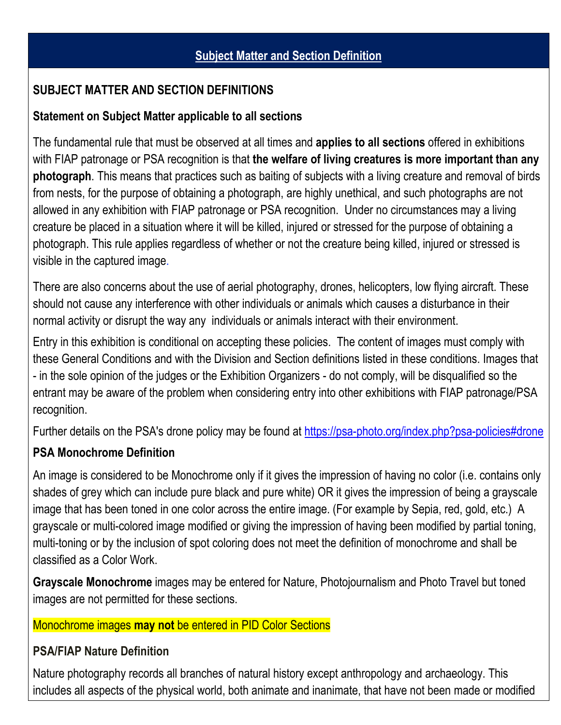### **SUBJECT MATTER AND SECTION DEFINITIONS**

#### **Statement on Subject Matter applicable to all sections**

The fundamental rule that must be observed at all times and **applies to all sections** offered in exhibitions with FIAP patronage or PSA recognition is that **the welfare of living creatures is more important than any photograph**. This means that practices such as baiting of subjects with a living creature and removal of birds from nests, for the purpose of obtaining a photograph, are highly unethical, and such photographs are not allowed in any exhibition with FIAP patronage or PSA recognition. Under no circumstances may a living creature be placed in a situation where it will be killed, injured or stressed for the purpose of obtaining a photograph. This rule applies regardless of whether or not the creature being killed, injured or stressed is visible in the captured image.

There are also concerns about the use of aerial photography, drones, helicopters, low flying aircraft. These should not cause any interference with other individuals or animals which causes a disturbance in their normal activity or disrupt the way any individuals or animals interact with their environment.

Entry in this exhibition is conditional on accepting these policies. The content of images must comply with these General Conditions and with the Division and Section definitions listed in these conditions. Images that - in the sole opinion of the judges or the Exhibition Organizers - do not comply, will be disqualified so the entrant may be aware of the problem when considering entry into other exhibitions with FIAP patronage/PSA recognition.

Further details on the PSA's drone policy may be found at [https://psa-photo.org/index.php?psa-policies#drone](https://psa-photo.org/index.php?psa-policies%23drone)

### **PSA Monochrome Definition**

An image is considered to be Monochrome only if it gives the impression of having no color (i.e. contains only shades of grey which can include pure black and pure white) OR it gives the impression of being a grayscale image that has been toned in one color across the entire image. (For example by Sepia, red, gold, etc.) A grayscale or multi-colored image modified or giving the impression of having been modified by partial toning, multi-toning or by the inclusion of spot coloring does not meet the definition of monochrome and shall be classified as a Color Work.

**Grayscale Monochrome** images may be entered for Nature, Photojournalism and Photo Travel but toned images are not permitted for these sections.

#### Monochrome images **may not** be entered in PID Color Sections

#### **PSA/FIAP Nature Definition**

Nature photography records all branches of natural history except anthropology and archaeology. This includes all aspects of the physical world, both animate and inanimate, that have not been made or modified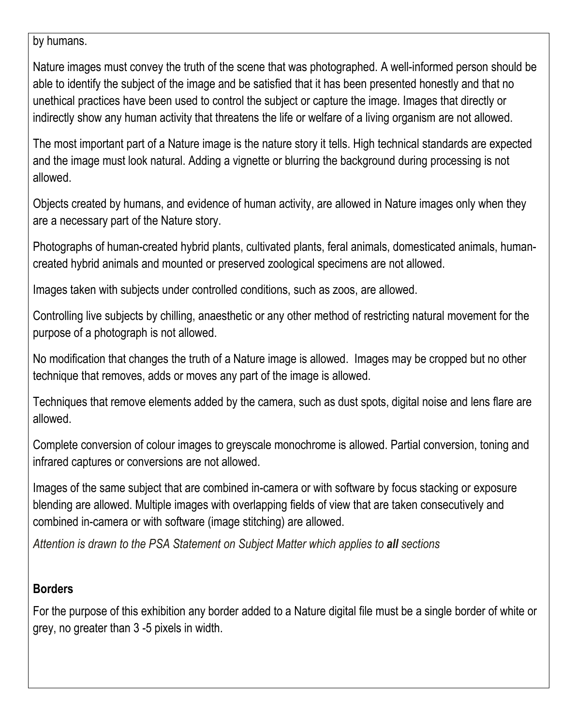by humans.

Nature images must convey the truth of the scene that was photographed. A well-informed person should be able to identify the subject of the image and be satisfied that it has been presented honestly and that no unethical practices have been used to control the subject or capture the image. Images that directly or indirectly show any human activity that threatens the life or welfare of a living organism are not allowed.

The most important part of a Nature image is the nature story it tells. High technical standards are expected and the image must look natural. Adding a vignette or blurring the background during processing is not allowed.

Objects created by humans, and evidence of human activity, are allowed in Nature images only when they are a necessary part of the Nature story.

Photographs of human-created hybrid plants, cultivated plants, feral animals, domesticated animals, human created hybrid animals and mounted or preserved zoological specimens are not allowed.

Images taken with subjects under controlled conditions, such as zoos, are allowed.

Controlling live subjects by chilling, anaesthetic or any other method of restricting natural movement for the purpose of a photograph is not allowed.

No modification that changes the truth of a Nature image is allowed. Images may be cropped but no other technique that removes, adds or moves any part of the image is allowed.

Techniques that remove elements added by the camera, such as dust spots, digital noise and lens flare are allowed.

Complete conversion of colour images to greyscale monochrome is allowed. Partial conversion, toning and infrared captures or conversions are not allowed.

Images of the same subject that are combined in-camera or with software by focus stacking or exposure blending are allowed. Multiple images with overlapping fields of view that are taken consecutively and combined in-camera or with software (image stitching) are allowed.

*Attention is drawn to the PSA Statement on Subject Matter which applies to all sections*

### **Borders**

For the purpose of this exhibition any border added to a Nature digital file must be a single border of white or grey, no greater than 3 -5 pixels in width.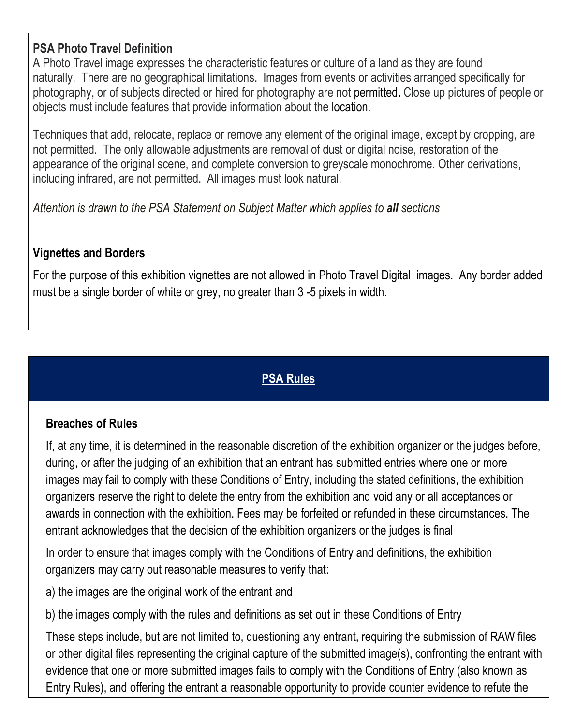### **PSA Photo Travel Definition**

A Photo Travel image expresses the characteristic features or culture of a land as they are found naturally. There are no geographical limitations. Images from events or activities arranged specifically for photography, or of subjects directed or hired for photography are not permitted**.** Close up pictures of people or objects must include features that provide information about the location.

Techniques that add, relocate, replace or remove any element of the original image, except by cropping, are not permitted. The only allowable adjustments are removal of dust or digital noise, restoration of the appearance of the original scene, and complete conversion to greyscale monochrome. Other derivations, including infrared, are not permitted. All images must look natural.

*Attention is drawn to the PSA Statement on Subject Matter which applies to all sections*

### **Vignettes and Borders**

For the purpose of this exhibition vignettes are not allowed in Photo Travel Digital images. Any borderadded must be a single border of white or grey, no greater than 3 -5 pixels in width.

### **PSA Rules**

#### **Breaches of Rules**

If, at any time, it is determined in the reasonable discretion of the exhibition organizer or the judges before, during, or after the judging of an exhibition that an entrant has submitted entries where one or more images may fail to comply with these Conditions of Entry, including the stated definitions, the exhibition organizers reserve the right to delete the entry from the exhibition and void any or all acceptances or awards in connection with the exhibition. Fees may be forfeited or refunded in these circumstances. The entrant acknowledges that the decision of the exhibition organizers or the judges is final

In order to ensure that images comply with the Conditions of Entry and definitions, the exhibition organizers may carry out reasonable measures to verify that:

a) the images are the original work of the entrant and

b) the images comply with the rules and definitions as set out in these Conditions of Entry

These steps include, but are not limited to, questioning any entrant, requiring the submission of RAW files or other digital files representing the original capture of the submitted image(s), confronting the entrant with evidence that one or more submitted images fails to comply with the Conditions of Entry (also known as Entry Rules), and offering the entrant a reasonable opportunity to provide counter evidence to refute the